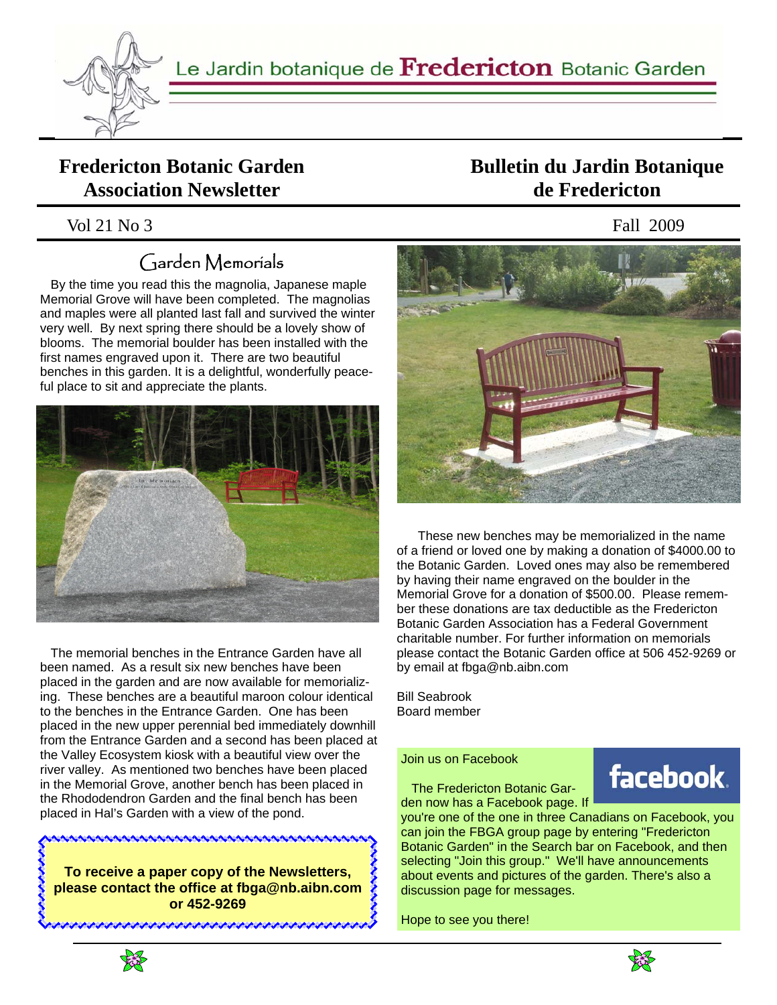

Le Jardin botanique de Fredericton Botanic Garden

### **Fredericton Botanic Garden Association Newsletter**

Vol 21 No 3 Fall 2009

# Garden Memorials

 By the time you read this the magnolia, Japanese maple Memorial Grove will have been completed. The magnolias and maples were all planted last fall and survived the winter very well. By next spring there should be a lovely show of blooms. The memorial boulder has been installed with the first names engraved upon it. There are two beautiful benches in this garden. It is a delightful, wonderfully peaceful place to sit and appreciate the plants.



 The memorial benches in the Entrance Garden have all been named. As a result six new benches have been placed in the garden and are now available for memorializing. These benches are a beautiful maroon colour identical to the benches in the Entrance Garden. One has been placed in the new upper perennial bed immediately downhill from the Entrance Garden and a second has been placed at the Valley Ecosystem kiosk with a beautiful view over the river valley. As mentioned two benches have been placed in the Memorial Grove, another bench has been placed in the Rhododendron Garden and the final bench has been placed in Hal's Garden with a view of the pond.

**To receive a paper copy of the Newsletters, please contact the office at fbga@nb.aibn.com or 452-9269**

<u> INITIAN IN THE THE TAN AND IN THE TAN AND IN THE TAN AND IN THE TAN AND IN THE TAN AND IN THE TAN AND IN THE T</u>

### **Bulletin du Jardin Botanique de Fredericton**



 These new benches may be memorialized in the name of a friend or loved one by making a donation of \$4000.00 to the Botanic Garden. Loved ones may also be remembered by having their name engraved on the boulder in the Memorial Grove for a donation of \$500.00. Please remember these donations are tax deductible as the Fredericton Botanic Garden Association has a Federal Government charitable number. For further information on memorials please contact the Botanic Garden office at 506 452-9269 or by email at fbga@nb.aibn.com

Bill Seabrook Board member

#### Join us on Facebook

 The Fredericton Botanic Garden now has a Facebook page. If

you're one of the one in three Canadians on Facebook, you can join the FBGA group page by entering "Fredericton Botanic Garden" in the Search bar on Facebook, and then selecting "Join this group." We'll have announcements about events and pictures of the garden. There's also a discussion page for messages.

Hope to see you there!





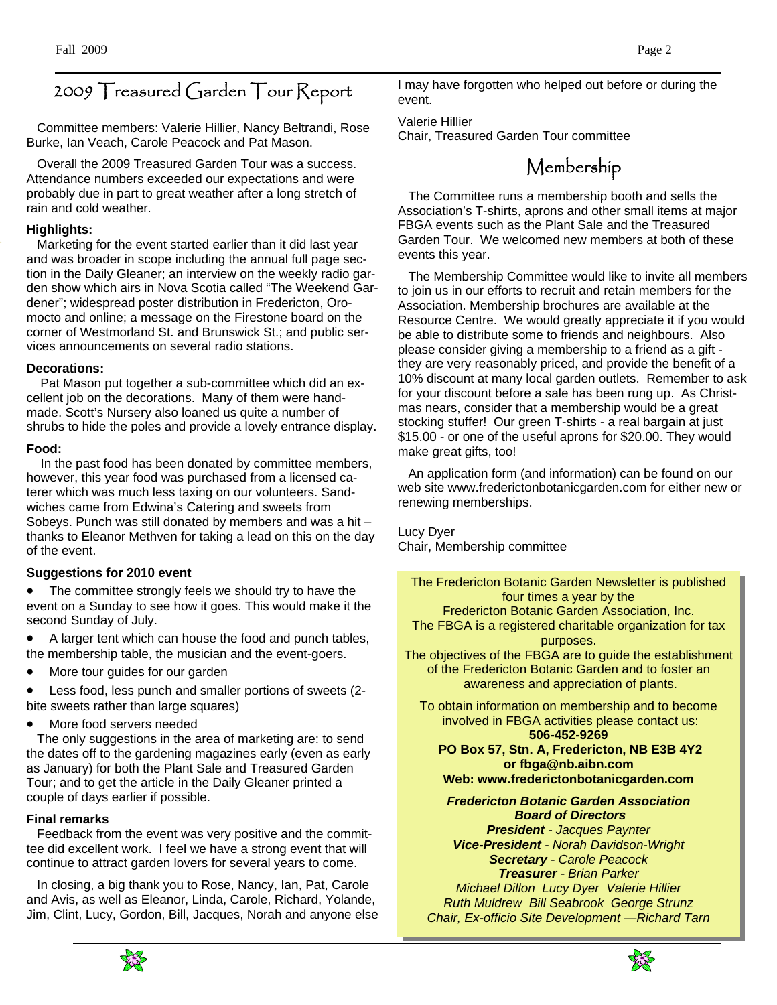# 2009 Treasured Garden Tour Report

 Committee members: Valerie Hillier, Nancy Beltrandi, Rose Burke, Ian Veach, Carole Peacock and Pat Mason.

 Overall the 2009 Treasured Garden Tour was a success. Attendance numbers exceeded our expectations and were probably due in part to great weather after a long stretch of rain and cold weather.

#### **Highlights:**

Marketing for the event started earlier than it did last year and was broader in scope including the annual full page section in the Daily Gleaner; an interview on the weekly radio garden show which airs in Nova Scotia called "The Weekend Gardener"; widespread poster distribution in Fredericton, Oromocto and online; a message on the Firestone board on the corner of Westmorland St. and Brunswick St.; and public services announcements on several radio stations.

#### **Decorations:**

Pat Mason put together a sub-committee which did an excellent job on the decorations. Many of them were handmade. Scott's Nursery also loaned us quite a number of shrubs to hide the poles and provide a lovely entrance display.

#### **Food:**

In the past food has been donated by committee members, however, this year food was purchased from a licensed caterer which was much less taxing on our volunteers. Sandwiches came from Edwina's Catering and sweets from Sobeys. Punch was still donated by members and was a hit – thanks to Eleanor Methven for taking a lead on this on the day of the event.

#### **Suggestions for 2010 event**

The committee strongly feels we should try to have the event on a Sunday to see how it goes. This would make it the second Sunday of July.

- A larger tent which can house the food and punch tables, the membership table, the musician and the event-goers.
- More tour guides for our garden

• Less food, less punch and smaller portions of sweets (2 bite sweets rather than large squares)

• More food servers needed

 The only suggestions in the area of marketing are: to send the dates off to the gardening magazines early (even as early as January) for both the Plant Sale and Treasured Garden Tour; and to get the article in the Daily Gleaner printed a couple of days earlier if possible.

#### **Final remarks**

 Feedback from the event was very positive and the committee did excellent work. I feel we have a strong event that will continue to attract garden lovers for several years to come.

 In closing, a big thank you to Rose, Nancy, Ian, Pat, Carole and Avis, as well as Eleanor, Linda, Carole, Richard, Yolande, Jim, Clint, Lucy, Gordon, Bill, Jacques, Norah and anyone else I may have forgotten who helped out before or during the event.

Valerie Hillier Chair, Treasured Garden Tour committee

### Membership

 The Committee runs a membership booth and sells the Association's T-shirts, aprons and other small items at major FBGA events such as the Plant Sale and the Treasured Garden Tour. We welcomed new members at both of these events this year.

 The Membership Committee would like to invite all members to join us in our efforts to recruit and retain members for the Association. Membership brochures are available at the Resource Centre. We would greatly appreciate it if you would be able to distribute some to friends and neighbours. Also please consider giving a membership to a friend as a gift they are very reasonably priced, and provide the benefit of a 10% discount at many local garden outlets. Remember to ask for your discount before a sale has been rung up. As Christmas nears, consider that a membership would be a great stocking stuffer! Our green T-shirts - a real bargain at just \$15.00 - or one of the useful aprons for \$20.00. They would make great gifts, too!

 An application form (and information) can be found on our web site www.frederictonbotanicgarden.com for either new or renewing memberships.

Lucy Dyer Chair, Membership committee

The Fredericton Botanic Garden Newsletter is published four times a year by the Fredericton Botanic Garden Association, Inc. The FBGA is a registered charitable organization for tax purposes. The objectives of the FBGA are to guide the establishment of the Fredericton Botanic Garden and to foster an awareness and appreciation of plants. To obtain information on membership and to become involved in FBGA activities please contact us: **506-452-9269 PO Box 57, Stn. A, Fredericton, NB E3B 4Y2 or fbga@nb.aibn.com Web: www.frederictonbotanicgarden.com**  *Fredericton Botanic Garden Association Board of Directors President - Jacques Paynter* 

*Vice-President - Norah Davidson-Wright Secretary - Carole Peacock Treasurer - Brian Parker Michael Dillon Lucy Dyer Valerie Hillier Ruth Muldrew Bill Seabrook George Strunz Chair, Ex-officio Site Development —Richard Tarn* 



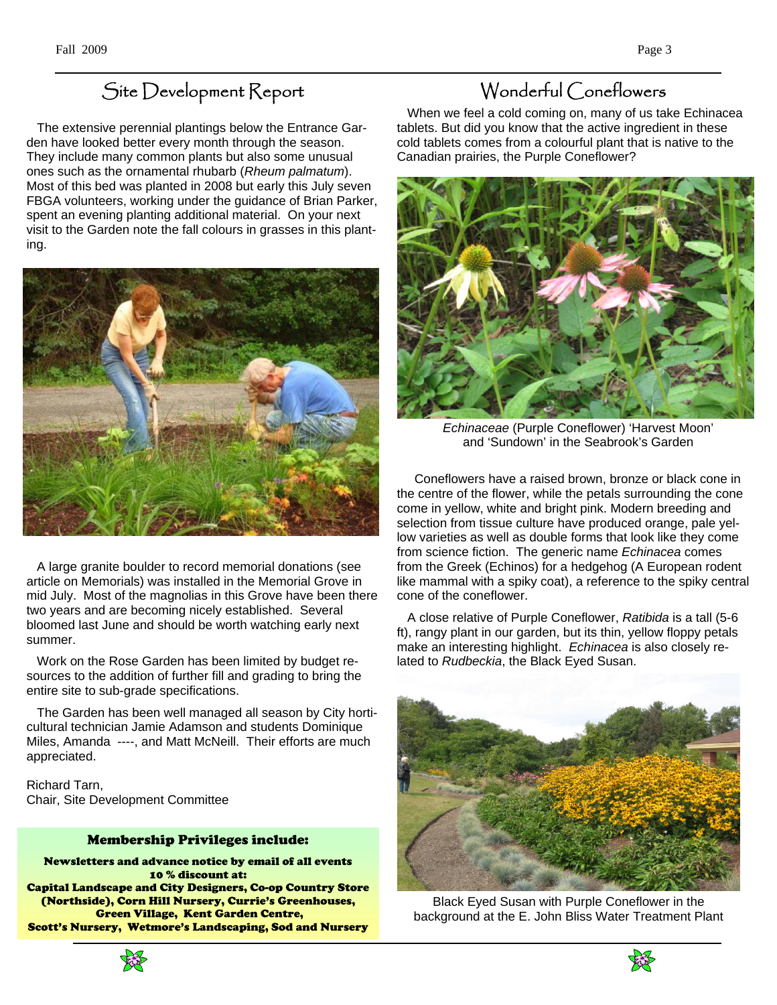# Site Development Report

 The extensive perennial plantings below the Entrance Garden have looked better every month through the season. They include many common plants but also some unusual ones such as the ornamental rhubarb (*Rheum palmatum*). Most of this bed was planted in 2008 but early this July seven FBGA volunteers, working under the guidance of Brian Parker, spent an evening planting additional material. On your next visit to the Garden note the fall colours in grasses in this planting.



 A large granite boulder to record memorial donations (see article on Memorials) was installed in the Memorial Grove in mid July. Most of the magnolias in this Grove have been there two years and are becoming nicely established. Several bloomed last June and should be worth watching early next summer.

 Work on the Rose Garden has been limited by budget resources to the addition of further fill and grading to bring the entire site to sub-grade specifications.

 The Garden has been well managed all season by City horticultural technician Jamie Adamson and students Dominique Miles, Amanda ----, and Matt McNeill. Their efforts are much appreciated.

Richard Tarn, Chair, Site Development Committee

#### Membership Privileges include:

Newsletters and advance notice by email of all events 10 % discount at: Capital Landscape and City Designers, Co-op Country Store (Northside), Corn Hill Nursery, Currie's Greenhouses, Green Village, Kent Garden Centre, Scott's Nursery, Wetmore's Landscaping, Sod and Nursery



 When we feel a cold coming on, many of us take Echinacea tablets. But did you know that the active ingredient in these cold tablets comes from a colourful plant that is native to the Canadian prairies, the Purple Coneflower?



*Echinaceae* (Purple Coneflower) 'Harvest Moon' and 'Sundown' in the Seabrook's Garden

 Coneflowers have a raised brown, bronze or black cone in the centre of the flower, while the petals surrounding the cone come in yellow, white and bright pink. Modern breeding and selection from tissue culture have produced orange, pale yellow varieties as well as double forms that look like they come from science fiction. The generic name *Echinacea* comes from the Greek (Echinos) for a hedgehog (A European rodent like mammal with a spiky coat), a reference to the spiky central cone of the coneflower.

 A close relative of Purple Coneflower, *Ratibida* is a tall (5-6 ft), rangy plant in our garden, but its thin, yellow floppy petals make an interesting highlight. *Echinacea* is also closely related to *Rudbeckia*, the Black Eyed Susan.



Black Eyed Susan with Purple Coneflower in the background at the E. John Bliss Water Treatment Plant